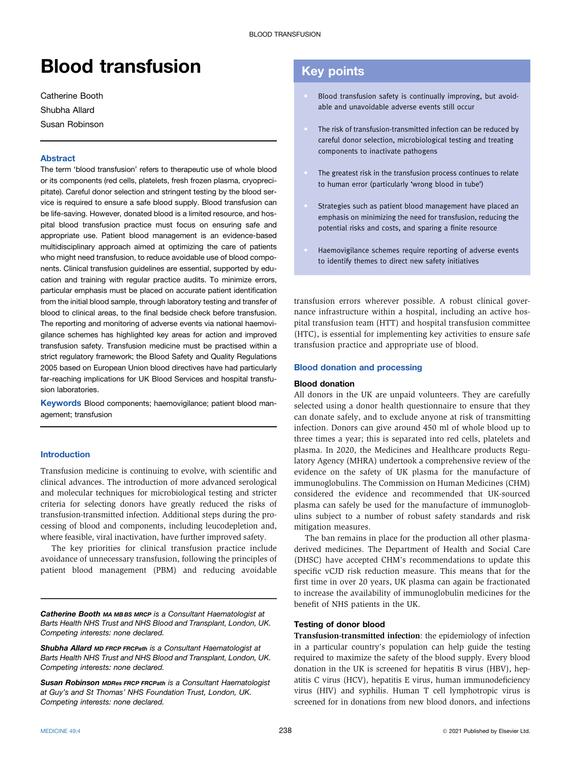# Blood transfusion

Catherine Booth Shubha Allard Susan Robinson

# Abstract

The term 'blood transfusion' refers to therapeutic use of whole blood or its components (red cells, platelets, fresh frozen plasma, cryoprecipitate). Careful donor selection and stringent testing by the blood service is required to ensure a safe blood supply. Blood transfusion can be life-saving. However, donated blood is a limited resource, and hospital blood transfusion practice must focus on ensuring safe and appropriate use. Patient blood management is an evidence-based multidisciplinary approach aimed at optimizing the care of patients who might need transfusion, to reduce avoidable use of blood components. Clinical transfusion guidelines are essential, supported by education and training with regular practice audits. To minimize errors, particular emphasis must be placed on accurate patient identification from the initial blood sample, through laboratory testing and transfer of blood to clinical areas, to the final bedside check before transfusion. The reporting and monitoring of adverse events via national haemovigilance schemes has highlighted key areas for action and improved transfusion safety. Transfusion medicine must be practised within a strict regulatory framework; the Blood Safety and Quality Regulations 2005 based on European Union blood directives have had particularly far-reaching implications for UK Blood Services and hospital transfusion laboratories.

Keywords Blood components; haemovigilance; patient blood management; transfusion

# Introduction

Transfusion medicine is continuing to evolve, with scientific and clinical advances. The introduction of more advanced serological and molecular techniques for microbiological testing and stricter criteria for selecting donors have greatly reduced the risks of transfusion-transmitted infection. Additional steps during the processing of blood and components, including leucodepletion and, where feasible, viral inactivation, have further improved safety.

The key priorities for clinical transfusion practice include avoidance of unnecessary transfusion, following the principles of patient blood management (PBM) and reducing avoidable

Catherine Booth MA MB BS MRCP is a Consultant Haematologist at Barts Health NHS Trust and NHS Blood and Transplant, London, UK. Competing interests: none declared.

Shubha Allard MD FRCP FRCPath is a Consultant Haematologist at Barts Health NHS Trust and NHS Blood and Transplant, London, UK. Competing interests: none declared.

Susan Robinson MDRes FRCP FRCPath is a Consultant Haematologist at Guy's and St Thomas' NHS Foundation Trust, London, UK. Competing interests: none declared.

# Key points

- Blood transfusion safety is continually improving, but avoidable and unavoidable adverse events still occur
- The risk of transfusion-transmitted infection can be reduced by careful donor selection, microbiological testing and treating components to inactivate pathogens
- The greatest risk in the transfusion process continues to relate to human error (particularly 'wrong blood in tube')
- Strategies such as patient blood management have placed an emphasis on minimizing the need for transfusion, reducing the potential risks and costs, and sparing a finite resource
- Haemovigilance schemes require reporting of adverse events to identify themes to direct new safety initiatives

transfusion errors wherever possible. A robust clinical governance infrastructure within a hospital, including an active hospital transfusion team (HTT) and hospital transfusion committee (HTC), is essential for implementing key activities to ensure safe transfusion practice and appropriate use of blood.

### Blood donation and processing

# Blood donation

All donors in the UK are unpaid volunteers. They are carefully selected using a donor health questionnaire to ensure that they can donate safely, and to exclude anyone at risk of transmitting infection. Donors can give around 450 ml of whole blood up to three times a year; this is separated into red cells, platelets and plasma. In 2020, the Medicines and Healthcare products Regulatory Agency (MHRA) undertook a comprehensive review of the evidence on the safety of UK plasma for the manufacture of immunoglobulins. The Commission on Human Medicines (CHM) considered the evidence and recommended that UK-sourced plasma can safely be used for the manufacture of immunoglobulins subject to a number of robust safety standards and risk mitigation measures.

The ban remains in place for the production all other plasmaderived medicines. The Department of Health and Social Care (DHSC) have accepted CHM's recommendations to update this specific vCJD risk reduction measure. This means that for the first time in over 20 years, UK plasma can again be fractionated to increase the availability of immunoglobulin medicines for the benefit of NHS patients in the UK.

### Testing of donor blood

Transfusion-transmitted infection: the epidemiology of infection in a particular country's population can help guide the testing required to maximize the safety of the blood supply. Every blood donation in the UK is screened for hepatitis B virus (HBV), hepatitis C virus (HCV), hepatitis E virus, human immunodeficiency virus (HIV) and syphilis. Human T cell lymphotropic virus is screened for in donations from new blood donors, and infections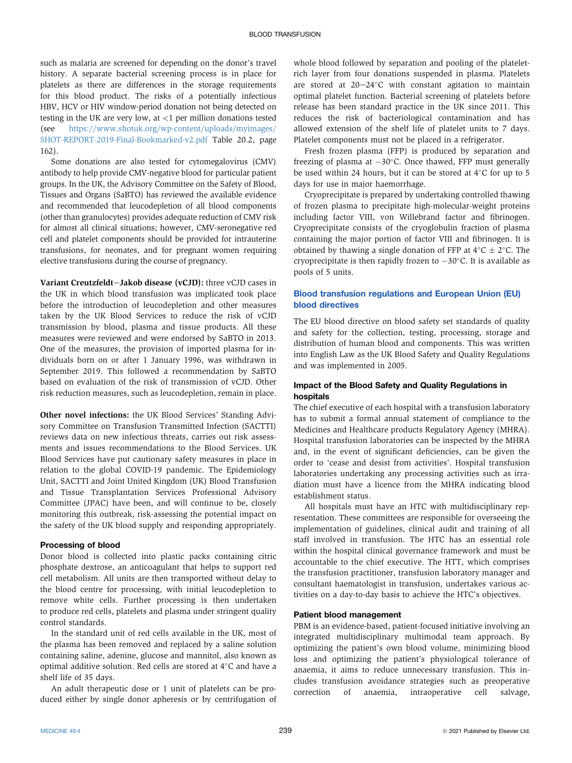such as malaria are screened for depending on the donor's travel history. A separate bacterial screening process is in place for platelets as there are differences in the storage requirements for this blood product. The risks of a potentially infectious HBV, HCV or HIV window-period donation not being detected on testing in the UK are very low, at <1 per million donations tested (see [https://www.shotuk.org/wp-content/uploads/myimages/](https://www.shotuk.org/wp-content/uploads/myimages/SHOT-REPORT-2019-Final-Bookmarked-v2.pdf) [SHOT-REPORT-2019-Final-Bookmarked-v2.pdf](https://www.shotuk.org/wp-content/uploads/myimages/SHOT-REPORT-2019-Final-Bookmarked-v2.pdf) Table 20.2, page 162).

Some donations are also tested for cytomegalovirus (CMV) antibody to help provide CMV-negative blood for particular patient groups. In the UK, the Advisory Committee on the Safety of Blood, Tissues and Organs (SaBTO) has reviewed the available evidence and recommended that leucodepletion of all blood components (other than granulocytes) provides adequate reduction of CMV risk for almost all clinical situations; however, CMV-seronegative red cell and platelet components should be provided for intrauterine transfusions, for neonates, and for pregnant women requiring elective transfusions during the course of pregnancy.

Variant Creutzfeldt-Jakob disease (vCJD): three vCJD cases in the UK in which blood transfusion was implicated took place before the introduction of leucodepletion and other measures taken by the UK Blood Services to reduce the risk of vCJD transmission by blood, plasma and tissue products. All these measures were reviewed and were endorsed by SaBTO in 2013. One of the measures, the provision of imported plasma for individuals born on or after 1 January 1996, was withdrawn in September 2019. This followed a recommendation by SaBTO based on evaluation of the risk of transmission of vCJD. Other risk reduction measures, such as leucodepletion, remain in place.

Other novel infections: the UK Blood Services' Standing Advisory Committee on Transfusion Transmitted Infection (SACTTI) reviews data on new infectious threats, carries out risk assessments and issues recommendations to the Blood Services. UK Blood Services have put cautionary safety measures in place in relation to the global COVID-19 pandemic. The Epidemiology Unit, SACTTI and Joint United Kingdom (UK) Blood Transfusion and Tissue Transplantation Services Professional Advisory Committee (JPAC) have been, and will continue to be, closely monitoring this outbreak, risk-assessing the potential impact on the safety of the UK blood supply and responding appropriately.

#### Processing of blood

Donor blood is collected into plastic packs containing citric phosphate dextrose, an anticoagulant that helps to support red cell metabolism. All units are then transported without delay to the blood centre for processing, with initial leucodepletion to remove white cells. Further processing is then undertaken to produce red cells, platelets and plasma under stringent quality control standards.

In the standard unit of red cells available in the UK, most of the plasma has been removed and replaced by a saline solution containing saline, adenine, glucose and mannitol, also known as optimal additive solution. Red cells are stored at 4°C and have a shelf life of 35 days.

An adult therapeutic dose or 1 unit of platelets can be produced either by single donor apheresis or by centrifugation of whole blood followed by separation and pooling of the plateletrich layer from four donations suspended in plasma. Platelets are stored at  $20-24$ °C with constant agitation to maintain optimal platelet function. Bacterial screening of platelets before release has been standard practice in the UK since 2011. This reduces the risk of bacteriological contamination and has allowed extension of the shelf life of platelet units to 7 days. Platelet components must not be placed in a refrigerator.

Fresh frozen plasma (FFP) is produced by separation and freezing of plasma at  $-30^{\circ}$ C. Once thawed, FFP must generally be used within 24 hours, but it can be stored at  $4^{\circ}$ C for up to 5 days for use in major haemorrhage.

Cryoprecipitate is prepared by undertaking controlled thawing of frozen plasma to precipitate high-molecular-weight proteins including factor VIII, von Willebrand factor and fibrinogen. Cryoprecipitate consists of the cryoglobulin fraction of plasma containing the major portion of factor VIII and fibrinogen. It is obtained by thawing a single donation of FFP at  $4^{\circ}$ C  $\pm$  2 $^{\circ}$ C. The cryoprecipitate is then rapidly frozen to  $-30^{\circ}$ C. It is available as pools of 5 units.

# Blood transfusion regulations and European Union (EU) blood directives

The EU blood directive on blood safety set standards of quality and safety for the collection, testing, processing, storage and distribution of human blood and components. This was written into English Law as the UK Blood Safety and Quality Regulations and was implemented in 2005.

# Impact of the Blood Safety and Quality Regulations in hospitals

The chief executive of each hospital with a transfusion laboratory has to submit a formal annual statement of compliance to the Medicines and Healthcare products Regulatory Agency (MHRA). Hospital transfusion laboratories can be inspected by the MHRA and, in the event of significant deficiencies, can be given the order to 'cease and desist from activities'. Hospital transfusion laboratories undertaking any processing activities such as irradiation must have a licence from the MHRA indicating blood establishment status.

All hospitals must have an HTC with multidisciplinary representation. These committees are responsible for overseeing the implementation of guidelines, clinical audit and training of all staff involved in transfusion. The HTC has an essential role within the hospital clinical governance framework and must be accountable to the chief executive. The HTT, which comprises the transfusion practitioner, transfusion laboratory manager and consultant haematologist in transfusion, undertakes various activities on a day-to-day basis to achieve the HTC's objectives.

### Patient blood management

PBM is an evidence-based, patient-focused initiative involving an integrated multidisciplinary multimodal team approach. By optimizing the patient's own blood volume, minimizing blood loss and optimizing the patient's physiological tolerance of anaemia, it aims to reduce unnecessary transfusion. This includes transfusion avoidance strategies such as preoperative correction of anaemia, intraoperative cell salvage,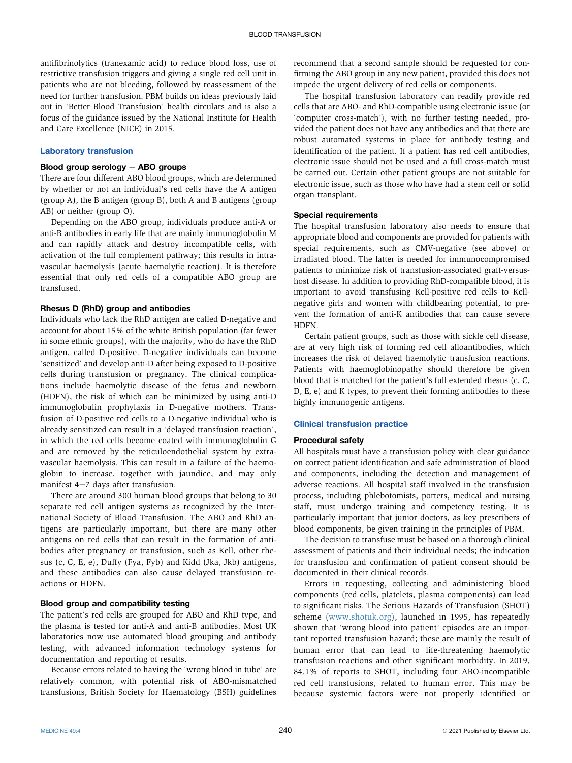antifibrinolytics (tranexamic acid) to reduce blood loss, use of restrictive transfusion triggers and giving a single red cell unit in patients who are not bleeding, followed by reassessment of the need for further transfusion. PBM builds on ideas previously laid out in 'Better Blood Transfusion' health circulars and is also a focus of the guidance issued by the National Institute for Health and Care Excellence (NICE) in 2015.

#### Laboratory transfusion

#### Blood group serology  $-$  ABO groups

There are four different ABO blood groups, which are determined by whether or not an individual's red cells have the A antigen (group A), the B antigen (group B), both A and B antigens (group AB) or neither (group O).

Depending on the ABO group, individuals produce anti-A or anti-B antibodies in early life that are mainly immunoglobulin M and can rapidly attack and destroy incompatible cells, with activation of the full complement pathway; this results in intravascular haemolysis (acute haemolytic reaction). It is therefore essential that only red cells of a compatible ABO group are transfused.

# Rhesus D (RhD) group and antibodies

Individuals who lack the RhD antigen are called D-negative and account for about 15% of the white British population (far fewer in some ethnic groups), with the majority, who do have the RhD antigen, called D-positive. D-negative individuals can become 'sensitized' and develop anti-D after being exposed to D-positive cells during transfusion or pregnancy. The clinical complications include haemolytic disease of the fetus and newborn (HDFN), the risk of which can be minimized by using anti-D immunoglobulin prophylaxis in D-negative mothers. Transfusion of D-positive red cells to a D-negative individual who is already sensitized can result in a 'delayed transfusion reaction', in which the red cells become coated with immunoglobulin G and are removed by the reticuloendothelial system by extravascular haemolysis. This can result in a failure of the haemoglobin to increase, together with jaundice, and may only manifest  $4-7$  days after transfusion.

There are around 300 human blood groups that belong to 30 separate red cell antigen systems as recognized by the International Society of Blood Transfusion. The ABO and RhD antigens are particularly important, but there are many other antigens on red cells that can result in the formation of antibodies after pregnancy or transfusion, such as Kell, other rhesus (c, C, E, e), Duffy (Fya, Fyb) and Kidd (Jka, Jkb) antigens, and these antibodies can also cause delayed transfusion reactions or HDFN.

#### Blood group and compatibility testing

The patient's red cells are grouped for ABO and RhD type, and the plasma is tested for anti-A and anti-B antibodies. Most UK laboratories now use automated blood grouping and antibody testing, with advanced information technology systems for documentation and reporting of results.

Because errors related to having the 'wrong blood in tube' are relatively common, with potential risk of ABO-mismatched transfusions, British Society for Haematology (BSH) guidelines

recommend that a second sample should be requested for confirming the ABO group in any new patient, provided this does not impede the urgent delivery of red cells or components.

The hospital transfusion laboratory can readily provide red cells that are ABO- and RhD-compatible using electronic issue (or 'computer cross-match'), with no further testing needed, provided the patient does not have any antibodies and that there are robust automated systems in place for antibody testing and identification of the patient. If a patient has red cell antibodies, electronic issue should not be used and a full cross-match must be carried out. Certain other patient groups are not suitable for electronic issue, such as those who have had a stem cell or solid organ transplant.

#### Special requirements

The hospital transfusion laboratory also needs to ensure that appropriate blood and components are provided for patients with special requirements, such as CMV-negative (see above) or irradiated blood. The latter is needed for immunocompromised patients to minimize risk of transfusion-associated graft-versushost disease. In addition to providing RhD-compatible blood, it is important to avoid transfusing Kell-positive red cells to Kellnegative girls and women with childbearing potential, to prevent the formation of anti-K antibodies that can cause severe **HDFN.** 

Certain patient groups, such as those with sickle cell disease, are at very high risk of forming red cell alloantibodies, which increases the risk of delayed haemolytic transfusion reactions. Patients with haemoglobinopathy should therefore be given blood that is matched for the patient's full extended rhesus (c, C, D, E, e) and K types, to prevent their forming antibodies to these highly immunogenic antigens.

### Clinical transfusion practice

#### Procedural safety

All hospitals must have a transfusion policy with clear guidance on correct patient identification and safe administration of blood and components, including the detection and management of adverse reactions. All hospital staff involved in the transfusion process, including phlebotomists, porters, medical and nursing staff, must undergo training and competency testing. It is particularly important that junior doctors, as key prescribers of blood components, be given training in the principles of PBM.

The decision to transfuse must be based on a thorough clinical assessment of patients and their individual needs; the indication for transfusion and confirmation of patient consent should be documented in their clinical records.

Errors in requesting, collecting and administering blood components (red cells, platelets, plasma components) can lead to significant risks. The Serious Hazards of Transfusion (SHOT) scheme [\(www.shotuk.org\)](http://www.shotuk.org), launched in 1995, has repeatedly shown that 'wrong blood into patient' episodes are an important reported transfusion hazard; these are mainly the result of human error that can lead to life-threatening haemolytic transfusion reactions and other significant morbidity. In 2019, 84.1% of reports to SHOT, including four ABO-incompatible red cell transfusions, related to human error. This may be because systemic factors were not properly identified or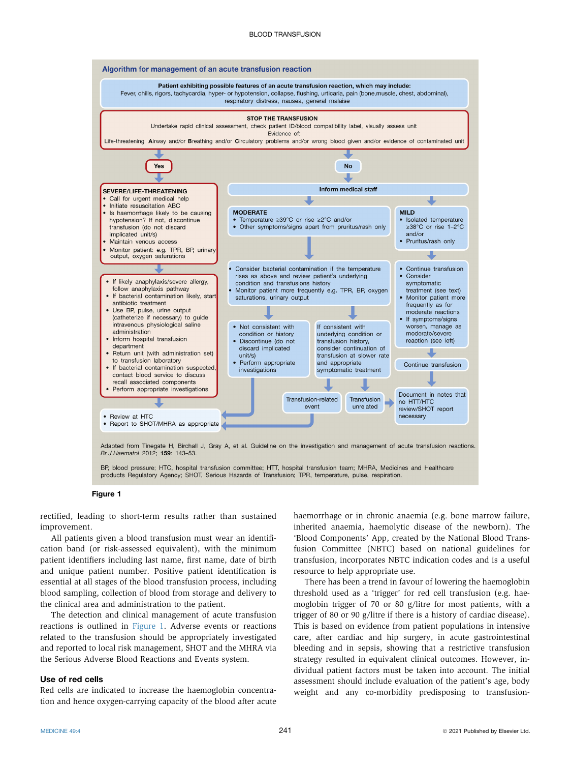<span id="page-3-0"></span>

BP, blood pressure; HTC, hospital transfusion committee; HTT, hospital transfusion team; MHRA, Medicines and Healthcare products Regulatory Agency; SHOT, Serious Hazards of Transfusion; TPR, temperature, pulse, respiration.

Figure 1

rectified, leading to short-term results rather than sustained improvement.

All patients given a blood transfusion must wear an identification band (or risk-assessed equivalent), with the minimum patient identifiers including last name, first name, date of birth and unique patient number. Positive patient identification is essential at all stages of the blood transfusion process, including blood sampling, collection of blood from storage and delivery to the clinical area and administration to the patient.

The detection and clinical management of acute transfusion reactions is outlined in [Figure 1.](#page-3-0) Adverse events or reactions related to the transfusion should be appropriately investigated and reported to local risk management, SHOT and the MHRA via the Serious Adverse Blood Reactions and Events system.

#### Use of red cells

Red cells are indicated to increase the haemoglobin concentration and hence oxygen-carrying capacity of the blood after acute haemorrhage or in chronic anaemia (e.g. bone marrow failure, inherited anaemia, haemolytic disease of the newborn). The 'Blood Components' App, created by the National Blood Transfusion Committee (NBTC) based on national guidelines for transfusion, incorporates NBTC indication codes and is a useful resource to help appropriate use.

There has been a trend in favour of lowering the haemoglobin threshold used as a 'trigger' for red cell transfusion (e.g. haemoglobin trigger of 70 or 80 g/litre for most patients, with a trigger of 80 or 90 g/litre if there is a history of cardiac disease). This is based on evidence from patient populations in intensive care, after cardiac and hip surgery, in acute gastrointestinal bleeding and in sepsis, showing that a restrictive transfusion strategy resulted in equivalent clinical outcomes. However, individual patient factors must be taken into account. The initial assessment should include evaluation of the patient's age, body weight and any co-morbidity predisposing to transfusion